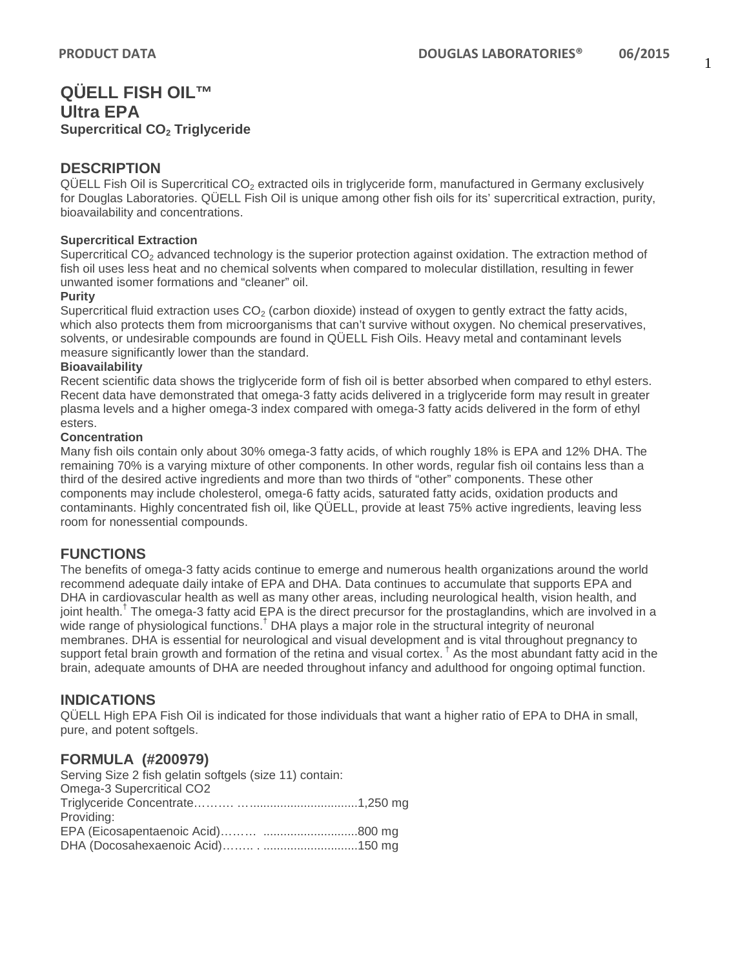# **QÜELL FISH OIL™ Ultra EPA Supercritical CO2 Triglyceride**

# **DESCRIPTION**

 $QÜELL$  Fish Oil is Supercritical  $CO<sub>2</sub>$  extracted oils in triglyceride form, manufactured in Germany exclusively for Douglas Laboratories. QÜELL Fish Oil is unique among other fish oils for its' supercritical extraction, purity, bioavailability and concentrations.

#### **Supercritical Extraction**

Supercritical  $CO<sub>2</sub>$  advanced technology is the superior protection against oxidation. The extraction method of fish oil uses less heat and no chemical solvents when compared to molecular distillation, resulting in fewer unwanted isomer formations and "cleaner" oil.

#### **Purity**

Supercritical fluid extraction uses  $CO<sub>2</sub>$  (carbon dioxide) instead of oxygen to gently extract the fatty acids, which also protects them from microorganisms that can't survive without oxygen. No chemical preservatives, solvents, or undesirable compounds are found in QÜELL Fish Oils. Heavy metal and contaminant levels measure significantly lower than the standard.

#### **Bioavailability**

Recent scientific data shows the triglyceride form of fish oil is better absorbed when compared to ethyl esters. Recent data have demonstrated that omega-3 fatty acids delivered in a triglyceride form may result in greater plasma levels and a higher omega-3 index compared with omega-3 fatty acids delivered in the form of ethyl esters.

#### **Concentration**

Many fish oils contain only about 30% omega-3 fatty acids, of which roughly 18% is EPA and 12% DHA. The remaining 70% is a varying mixture of other components. In other words, regular fish oil contains less than a third of the desired active ingredients and more than two thirds of "other" components. These other components may include cholesterol, omega-6 fatty acids, saturated fatty acids, oxidation products and contaminants. Highly concentrated fish oil, like QÜELL, provide at least 75% active ingredients, leaving less room for nonessential compounds.

# **FUNCTIONS**

The benefits of omega-3 fatty acids continue to emerge and numerous health organizations around the world recommend adequate daily intake of EPA and DHA. Data continues to accumulate that supports EPA and DHA in cardiovascular health as well as many other areas, including neurological health, vision health, and joint health.<sup>†</sup> The omega-3 fatty acid EPA is the direct precursor for the prostaglandins, which are involved in a wide range of physiological functions.<sup>†</sup> DHA plays a major role in the structural integrity of neuronal membranes. DHA is essential for neurological and visual development and is vital throughout pregnancy to support fetal brain growth and formation of the retina and visual cortex.<sup>†</sup> As the most abundant fatty acid in the brain, adequate amounts of DHA are needed throughout infancy and adulthood for ongoing optimal function.

# **INDICATIONS**

QÜELL High EPA Fish Oil is indicated for those individuals that want a higher ratio of EPA to DHA in small, pure, and potent softgels.

# **FORMULA (#200979)**

| Serving Size 2 fish gelatin softgels (size 11) contain: |  |
|---------------------------------------------------------|--|
| Omega-3 Supercritical CO2                               |  |
|                                                         |  |
| Providing:                                              |  |
|                                                         |  |
|                                                         |  |